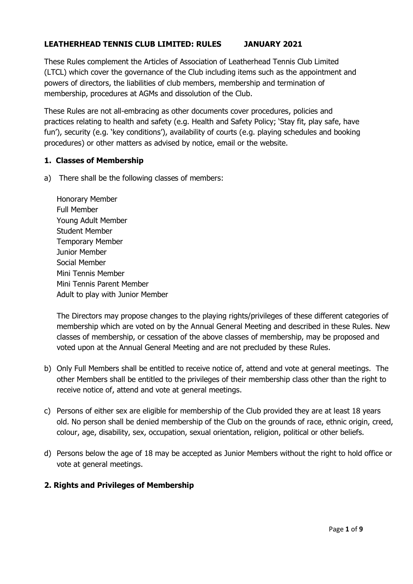## **LEATHERHEAD TENNIS CLUB LIMITED: RULES JANUARY 2021**

These Rules complement the Articles of Association of Leatherhead Tennis Club Limited (LTCL) which cover the governance of the Club including items such as the appointment and powers of directors, the liabilities of club members, membership and termination of membership, procedures at AGMs and dissolution of the Club.

These Rules are not all-embracing as other documents cover procedures, policies and practices relating to health and safety (e.g. Health and Safety Policy; 'Stay fit, play safe, have fun'), security (e.g. 'key conditions'), availability of courts (e.g. playing schedules and booking procedures) or other matters as advised by notice, email or the website.

#### **1. Classes of Membership**

a) There shall be the following classes of members:

Honorary Member Full Member Young Adult Member Student Member Temporary Member Junior Member Social Member Mini Tennis Member Mini Tennis Parent Member Adult to play with Junior Member

The Directors may propose changes to the playing rights/privileges of these different categories of membership which are voted on by the Annual General Meeting and described in these Rules. New classes of membership, or cessation of the above classes of membership, may be proposed and voted upon at the Annual General Meeting and are not precluded by these Rules.

- b) Only Full Members shall be entitled to receive notice of, attend and vote at general meetings. The other Members shall be entitled to the privileges of their membership class other than the right to receive notice of, attend and vote at general meetings.
- c) Persons of either sex are eligible for membership of the Club provided they are at least 18 years old. No person shall be denied membership of the Club on the grounds of race, ethnic origin, creed, colour, age, disability, sex, occupation, sexual orientation, religion, political or other beliefs.
- d) Persons below the age of 18 may be accepted as Junior Members without the right to hold office or vote at general meetings.

### **2. Rights and Privileges of Membership**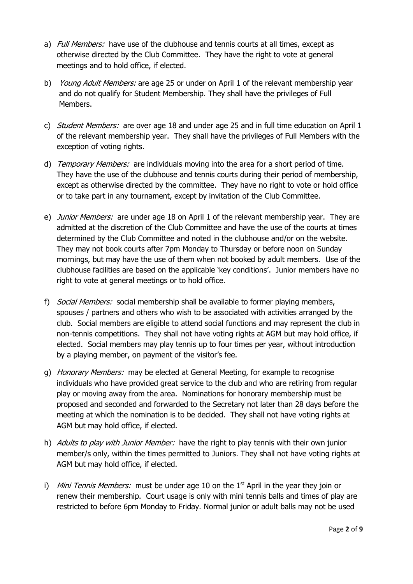- a) *Full Members:* have use of the clubhouse and tennis courts at all times, except as otherwise directed by the Club Committee. They have the right to vote at general meetings and to hold office, if elected.
- b) *Young Adult Members:* are age 25 or under on April 1 of the relevant membership year and do not qualify for Student Membership. They shall have the privileges of Full Members.
- c) *Student Members:* are over age 18 and under age 25 and in full time education on April 1 of the relevant membership year. They shall have the privileges of Full Members with the exception of voting rights.
- d) Temporary Members: are individuals moving into the area for a short period of time. They have the use of the clubhouse and tennis courts during their period of membership, except as otherwise directed by the committee. They have no right to vote or hold office or to take part in any tournament, except by invitation of the Club Committee.
- e) *Junior Members:* are under age 18 on April 1 of the relevant membership year. They are admitted at the discretion of the Club Committee and have the use of the courts at times determined by the Club Committee and noted in the clubhouse and/or on the website. They may not book courts after 7pm Monday to Thursday or before noon on Sunday mornings, but may have the use of them when not booked by adult members. Use of the clubhouse facilities are based on the applicable 'key conditions'. Junior members have no right to vote at general meetings or to hold office.
- f) Social Members: social membership shall be available to former playing members, spouses / partners and others who wish to be associated with activities arranged by the club. Social members are eligible to attend social functions and may represent the club in non-tennis competitions. They shall not have voting rights at AGM but may hold office, if elected. Social members may play tennis up to four times per year, without introduction by a playing member, on payment of the visitor's fee.
- g) Honorary Members: may be elected at General Meeting, for example to recognise individuals who have provided great service to the club and who are retiring from regular play or moving away from the area. Nominations for honorary membership must be proposed and seconded and forwarded to the Secretary not later than 28 days before the meeting at which the nomination is to be decided. They shall not have voting rights at AGM but may hold office, if elected.
- h) Adults to play with Junior Member: have the right to play tennis with their own junior member/s only, within the times permitted to Juniors. They shall not have voting rights at AGM but may hold office, if elected.
- i) Mini Tennis Members: must be under age 10 on the  $1<sup>st</sup>$  April in the year they join or renew their membership. Court usage is only with mini tennis balls and times of play are restricted to before 6pm Monday to Friday. Normal junior or adult balls may not be used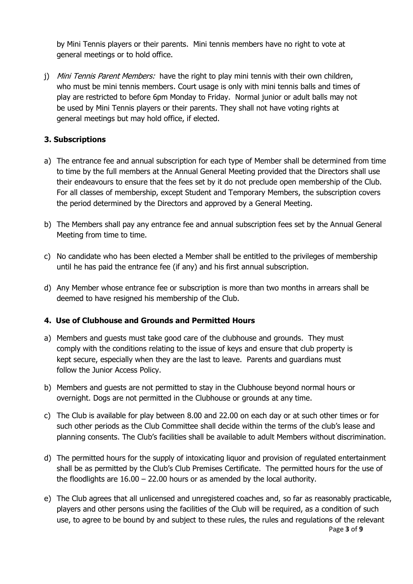by Mini Tennis players or their parents. Mini tennis members have no right to vote at general meetings or to hold office.

j) Mini Tennis Parent Members: have the right to play mini tennis with their own children, who must be mini tennis members. Court usage is only with mini tennis balls and times of play are restricted to before 6pm Monday to Friday. Normal junior or adult balls may not be used by Mini Tennis players or their parents. They shall not have voting rights at general meetings but may hold office, if elected.

### **3. Subscriptions**

- a) The entrance fee and annual subscription for each type of Member shall be determined from time to time by the full members at the Annual General Meeting provided that the Directors shall use their endeavours to ensure that the fees set by it do not preclude open membership of the Club. For all classes of membership, except Student and Temporary Members, the subscription covers the period determined by the Directors and approved by a General Meeting.
- b) The Members shall pay any entrance fee and annual subscription fees set by the Annual General Meeting from time to time.
- c) No candidate who has been elected a Member shall be entitled to the privileges of membership until he has paid the entrance fee (if any) and his first annual subscription.
- d) Any Member whose entrance fee or subscription is more than two months in arrears shall be deemed to have resigned his membership of the Club.

### **4. Use of Clubhouse and Grounds and Permitted Hours**

- a) Members and guests must take good care of the clubhouse and grounds. They must comply with the conditions relating to the issue of keys and ensure that club property is kept secure, especially when they are the last to leave. Parents and guardians must follow the Junior Access Policy.
- b) Members and guests are not permitted to stay in the Clubhouse beyond normal hours or overnight. Dogs are not permitted in the Clubhouse or grounds at any time.
- c) The Club is available for play between 8.00 and 22.00 on each day or at such other times or for such other periods as the Club Committee shall decide within the terms of the club's lease and planning consents. The Club's facilities shall be available to adult Members without discrimination.
- d) The permitted hours for the supply of intoxicating liquor and provision of regulated entertainment shall be as permitted by the Club's Club Premises Certificate. The permitted hours for the use of the floodlights are 16.00 – 22.00 hours or as amended by the local authority.
- Page **3** of **9** e) The Club agrees that all unlicensed and unregistered coaches and, so far as reasonably practicable, players and other persons using the facilities of the Club will be required, as a condition of such use, to agree to be bound by and subject to these rules, the rules and regulations of the relevant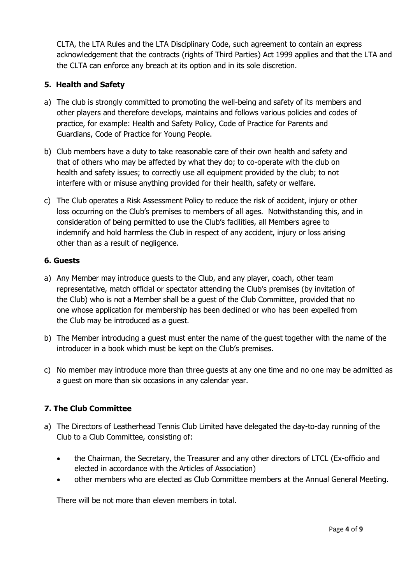CLTA, the LTA Rules and the LTA Disciplinary Code, such agreement to contain an express acknowledgement that the contracts (rights of Third Parties) Act 1999 applies and that the LTA and the CLTA can enforce any breach at its option and in its sole discretion.

# **5. Health and Safety**

- a) The club is strongly committed to promoting the well-being and safety of its members and other players and therefore develops, maintains and follows various policies and codes of practice, for example: Health and Safety Policy, Code of Practice for Parents and Guardians, Code of Practice for Young People.
- b) Club members have a duty to take reasonable care of their own health and safety and that of others who may be affected by what they do; to co-operate with the club on health and safety issues; to correctly use all equipment provided by the club; to not interfere with or misuse anything provided for their health, safety or welfare.
- c) The Club operates a Risk Assessment Policy to reduce the risk of accident, injury or other loss occurring on the Club's premises to members of all ages. Notwithstanding this, and in consideration of being permitted to use the Club's facilities, all Members agree to indemnify and hold harmless the Club in respect of any accident, injury or loss arising other than as a result of negligence.

# **6. Guests**

- a) Any Member may introduce guests to the Club, and any player, coach, other team representative, match official or spectator attending the Club's premises (by invitation of the Club) who is not a Member shall be a guest of the Club Committee, provided that no one whose application for membership has been declined or who has been expelled from the Club may be introduced as a guest.
- b) The Member introducing a guest must enter the name of the guest together with the name of the introducer in a book which must be kept on the Club's premises.
- c) No member may introduce more than three guests at any one time and no one may be admitted as a guest on more than six occasions in any calendar year.

# **7. The Club Committee**

- a) The Directors of Leatherhead Tennis Club Limited have delegated the day-to-day running of the Club to a Club Committee, consisting of:
	- the Chairman, the Secretary, the Treasurer and any other directors of LTCL (Ex-officio and elected in accordance with the Articles of Association)
	- other members who are elected as Club Committee members at the Annual General Meeting.

There will be not more than eleven members in total.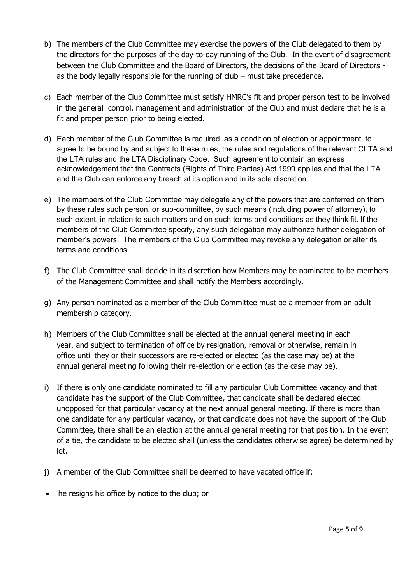- b) The members of the Club Committee may exercise the powers of the Club delegated to them by the directors for the purposes of the day-to-day running of the Club. In the event of disagreement between the Club Committee and the Board of Directors, the decisions of the Board of Directors as the body legally responsible for the running of club – must take precedence.
- c) Each member of the Club Committee must satisfy HMRC's fit and proper person test to be involved in the general control, management and administration of the Club and must declare that he is a fit and proper person prior to being elected.
- d) Each member of the Club Committee is required, as a condition of election or appointment, to agree to be bound by and subject to these rules, the rules and regulations of the relevant CLTA and the LTA rules and the LTA Disciplinary Code. Such agreement to contain an express acknowledgement that the Contracts (Rights of Third Parties) Act 1999 applies and that the LTA and the Club can enforce any breach at its option and in its sole discretion.
- e) The members of the Club Committee may delegate any of the powers that are conferred on them by these rules such person, or sub-committee, by such means (including power of attorney), to such extent, in relation to such matters and on such terms and conditions as they think fit. If the members of the Club Committee specify, any such delegation may authorize further delegation of member's powers. The members of the Club Committee may revoke any delegation or alter its terms and conditions.
- f) The Club Committee shall decide in its discretion how Members may be nominated to be members of the Management Committee and shall notify the Members accordingly.
- g) Any person nominated as a member of the Club Committee must be a member from an adult membership category.
- h) Members of the Club Committee shall be elected at the annual general meeting in each year, and subject to termination of office by resignation, removal or otherwise, remain in office until they or their successors are re-elected or elected (as the case may be) at the annual general meeting following their re-election or election (as the case may be).
- i) If there is only one candidate nominated to fill any particular Club Committee vacancy and that candidate has the support of the Club Committee, that candidate shall be declared elected unopposed for that particular vacancy at the next annual general meeting. If there is more than one candidate for any particular vacancy, or that candidate does not have the support of the Club Committee, there shall be an election at the annual general meeting for that position. In the event of a tie, the candidate to be elected shall (unless the candidates otherwise agree) be determined by lot.
- j) A member of the Club Committee shall be deemed to have vacated office if:
- he resigns his office by notice to the club; or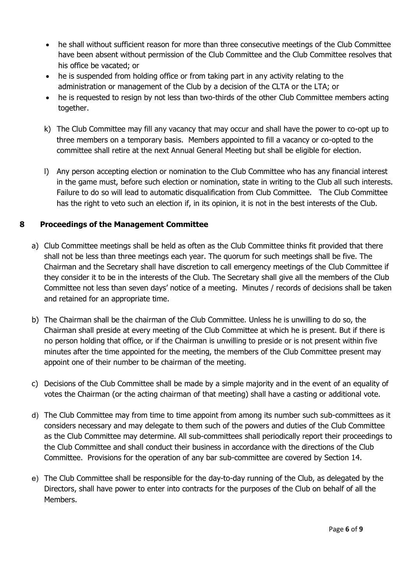- he shall without sufficient reason for more than three consecutive meetings of the Club Committee have been absent without permission of the Club Committee and the Club Committee resolves that his office be vacated; or
- he is suspended from holding office or from taking part in any activity relating to the administration or management of the Club by a decision of the CLTA or the LTA; or
- he is requested to resign by not less than two-thirds of the other Club Committee members acting together.
- k) The Club Committee may fill any vacancy that may occur and shall have the power to co-opt up to three members on a temporary basis. Members appointed to fill a vacancy or co-opted to the committee shall retire at the next Annual General Meeting but shall be eligible for election.
- l) Any person accepting election or nomination to the Club Committee who has any financial interest in the game must, before such election or nomination, state in writing to the Club all such interests. Failure to do so will lead to automatic disqualification from Club Committee. The Club Committee has the right to veto such an election if, in its opinion, it is not in the best interests of the Club.

## **8 Proceedings of the Management Committee**

- a) Club Committee meetings shall be held as often as the Club Committee thinks fit provided that there shall not be less than three meetings each year. The quorum for such meetings shall be five. The Chairman and the Secretary shall have discretion to call emergency meetings of the Club Committee if they consider it to be in the interests of the Club. The Secretary shall give all the members of the Club Committee not less than seven days' notice of a meeting. Minutes / records of decisions shall be taken and retained for an appropriate time.
- b) The Chairman shall be the chairman of the Club Committee. Unless he is unwilling to do so, the Chairman shall preside at every meeting of the Club Committee at which he is present. But if there is no person holding that office, or if the Chairman is unwilling to preside or is not present within five minutes after the time appointed for the meeting, the members of the Club Committee present may appoint one of their number to be chairman of the meeting.
- c) Decisions of the Club Committee shall be made by a simple majority and in the event of an equality of votes the Chairman (or the acting chairman of that meeting) shall have a casting or additional vote.
- d) The Club Committee may from time to time appoint from among its number such sub-committees as it considers necessary and may delegate to them such of the powers and duties of the Club Committee as the Club Committee may determine. All sub-committees shall periodically report their proceedings to the Club Committee and shall conduct their business in accordance with the directions of the Club Committee. Provisions for the operation of any bar sub-committee are covered by Section 14.
- e) The Club Committee shall be responsible for the day-to-day running of the Club, as delegated by the Directors, shall have power to enter into contracts for the purposes of the Club on behalf of all the Members.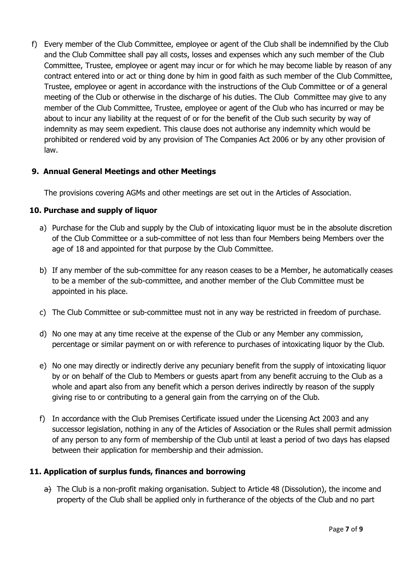f) Every member of the Club Committee, employee or agent of the Club shall be indemnified by the Club and the Club Committee shall pay all costs, losses and expenses which any such member of the Club Committee, Trustee, employee or agent may incur or for which he may become liable by reason of any contract entered into or act or thing done by him in good faith as such member of the Club Committee, Trustee, employee or agent in accordance with the instructions of the Club Committee or of a general meeting of the Club or otherwise in the discharge of his duties. The Club Committee may give to any member of the Club Committee, Trustee, employee or agent of the Club who has incurred or may be about to incur any liability at the request of or for the benefit of the Club such security by way of indemnity as may seem expedient. This clause does not authorise any indemnity which would be prohibited or rendered void by any provision of The Companies Act 2006 or by any other provision of law.

### **9. Annual General Meetings and other Meetings**

The provisions covering AGMs and other meetings are set out in the Articles of Association.

### **10. Purchase and supply of liquor**

- a) Purchase for the Club and supply by the Club of intoxicating liquor must be in the absolute discretion of the Club Committee or a sub-committee of not less than four Members being Members over the age of 18 and appointed for that purpose by the Club Committee.
- b) If any member of the sub-committee for any reason ceases to be a Member, he automatically ceases to be a member of the sub-committee, and another member of the Club Committee must be appointed in his place.
- c) The Club Committee or sub-committee must not in any way be restricted in freedom of purchase.
- d) No one may at any time receive at the expense of the Club or any Member any commission, percentage or similar payment on or with reference to purchases of intoxicating liquor by the Club.
- e) No one may directly or indirectly derive any pecuniary benefit from the supply of intoxicating liquor by or on behalf of the Club to Members or guests apart from any benefit accruing to the Club as a whole and apart also from any benefit which a person derives indirectly by reason of the supply giving rise to or contributing to a general gain from the carrying on of the Club.
- f) In accordance with the Club Premises Certificate issued under the Licensing Act 2003 and any successor legislation, nothing in any of the Articles of Association or the Rules shall permit admission of any person to any form of membership of the Club until at least a period of two days has elapsed between their application for membership and their admission.

## **11. Application of surplus funds, finances and borrowing**

 $a)$  The Club is a non-profit making organisation. Subject to Article 48 (Dissolution), the income and property of the Club shall be applied only in furtherance of the objects of the Club and no part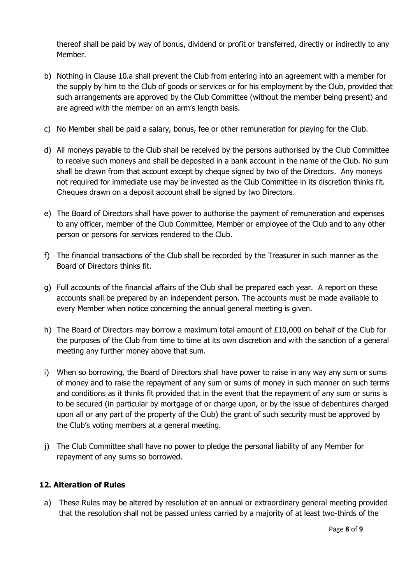thereof shall be paid by way of bonus, dividend or profit or transferred, directly or indirectly to any Member.

- b) Nothing in Clause 10.a shall prevent the Club from entering into an agreement with a member for the supply by him to the Club of goods or services or for his employment by the Club, provided that such arrangements are approved by the Club Committee (without the member being present) and are agreed with the member on an arm's length basis.
- c) No Member shall be paid a salary, bonus, fee or other remuneration for playing for the Club.
- d) All moneys payable to the Club shall be received by the persons authorised by the Club Committee to receive such moneys and shall be deposited in a bank account in the name of the Club. No sum shall be drawn from that account except by cheque signed by two of the Directors. Any moneys not required for immediate use may be invested as the Club Committee in its discretion thinks fit. Cheques drawn on a deposit account shall be signed by two Directors.
- e) The Board of Directors shall have power to authorise the payment of remuneration and expenses to any officer, member of the Club Committee, Member or employee of the Club and to any other person or persons for services rendered to the Club.
- f) The financial transactions of the Club shall be recorded by the Treasurer in such manner as the Board of Directors thinks fit.
- g) Full accounts of the financial affairs of the Club shall be prepared each year. A report on these accounts shall be prepared by an independent person. The accounts must be made available to every Member when notice concerning the annual general meeting is given.
- h) The Board of Directors may borrow a maximum total amount of £10,000 on behalf of the Club for the purposes of the Club from time to time at its own discretion and with the sanction of a general meeting any further money above that sum.
- i) When so borrowing, the Board of Directors shall have power to raise in any way any sum or sums of money and to raise the repayment of any sum or sums of money in such manner on such terms and conditions as it thinks fit provided that in the event that the repayment of any sum or sums is to be secured (in particular by mortgage of or charge upon, or by the issue of debentures charged upon all or any part of the property of the Club) the grant of such security must be approved by the Club's voting members at a general meeting.
- j) The Club Committee shall have no power to pledge the personal liability of any Member for repayment of any sums so borrowed.

### **12. Alteration of Rules**

a) These Rules may be altered by resolution at an annual or extraordinary general meeting provided that the resolution shall not be passed unless carried by a majority of at least two-thirds of the